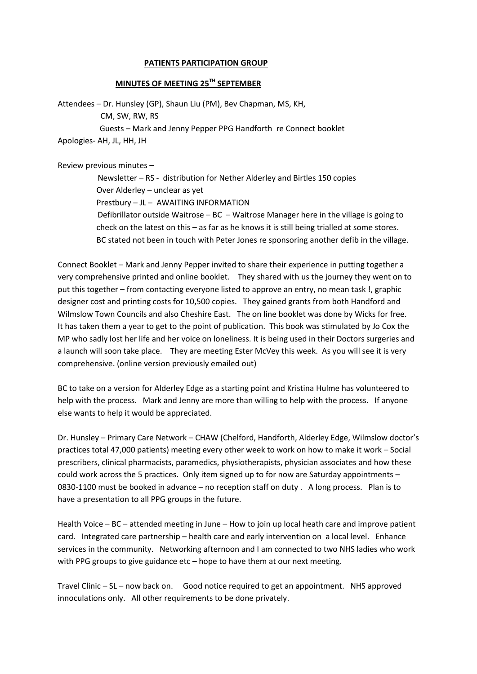## **PATIENTS PARTICIPATION GROUP**

## **MINUTES OF MEETING 25TH SEPTEMBER**

Attendees – Dr. Hunsley (GP), Shaun Liu (PM), Bev Chapman, MS, KH, CM, SW, RW, RS Guests – Mark and Jenny Pepper PPG Handforth re Connect booklet Apologies- AH, JL, HH, JH

Review previous minutes –

 Newsletter – RS - distribution for Nether Alderley and Birtles 150 copies Over Alderley – unclear as yet Prestbury – JL – AWAITING INFORMATION Defibrillator outside Waitrose – BC – Waitrose Manager here in the village is going to check on the latest on this – as far as he knows it is still being trialled at some stores. BC stated not been in touch with Peter Jones re sponsoring another defib in the village.

Connect Booklet – Mark and Jenny Pepper invited to share their experience in putting together a very comprehensive printed and online booklet. They shared with us the journey they went on to put this together – from contacting everyone listed to approve an entry, no mean task !, graphic designer cost and printing costs for 10,500 copies. They gained grants from both Handford and Wilmslow Town Councils and also Cheshire East. The on line booklet was done by Wicks for free. It has taken them a year to get to the point of publication. This book was stimulated by Jo Cox the MP who sadly lost her life and her voice on loneliness. It is being used in their Doctors surgeries and a launch will soon take place. They are meeting Ester McVey this week. As you will see it is very comprehensive. (online version previously emailed out)

BC to take on a version for Alderley Edge as a starting point and Kristina Hulme has volunteered to help with the process. Mark and Jenny are more than willing to help with the process. If anyone else wants to help it would be appreciated.

Dr. Hunsley – Primary Care Network – CHAW (Chelford, Handforth, Alderley Edge, Wilmslow doctor's practices total 47,000 patients) meeting every other week to work on how to make it work – Social prescribers, clinical pharmacists, paramedics, physiotherapists, physician associates and how these could work across the 5 practices. Only item signed up to for now are Saturday appointments – 0830-1100 must be booked in advance – no reception staff on duty . A long process. Plan is to have a presentation to all PPG groups in the future.

Health Voice – BC – attended meeting in June – How to join up local heath care and improve patient card. Integrated care partnership – health care and early intervention on a local level. Enhance services in the community. Networking afternoon and I am connected to two NHS ladies who work with PPG groups to give guidance etc – hope to have them at our next meeting.

Travel Clinic – SL – now back on. Good notice required to get an appointment. NHS approved innoculations only. All other requirements to be done privately.